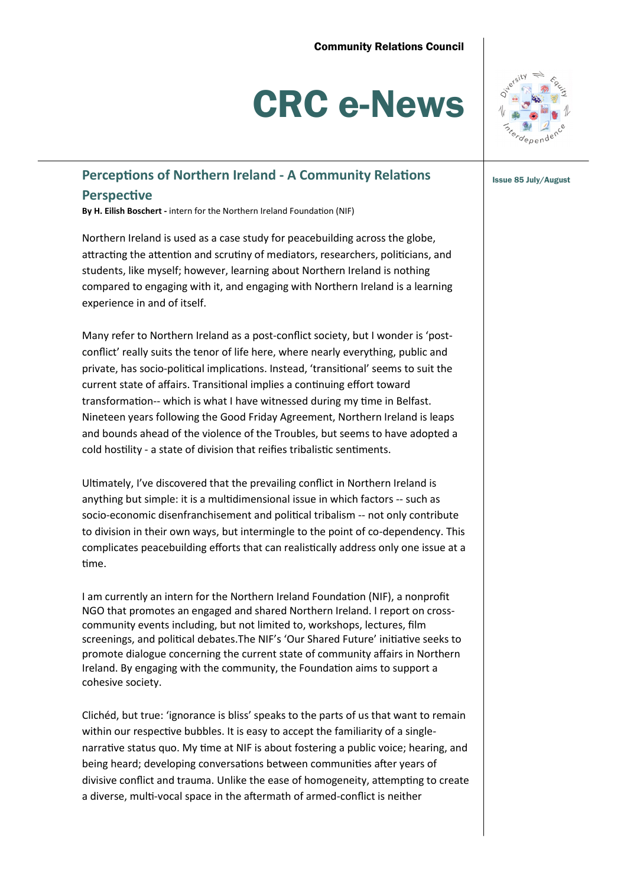# CRC e-News



# **Perceptions of Northern Ireland - A Community Relations**  $\left| \right|_{\text{issue 85 July/August}}$ **Perspective**

**By H. Eilish Boschert -** intern for the Northern Ireland Foundation (NIF)

Northern Ireland is used as a case study for peacebuilding across the globe, attracting the attention and scrutiny of mediators, researchers, politicians, and students, like myself; however, learning about Northern Ireland is nothing compared to engaging with it, and engaging with Northern Ireland is a learning experience in and of itself.

Many refer to Northern Ireland as a post-conflict society, but I wonder is 'postconflict' really suits the tenor of life here, where nearly everything, public and private, has socio-political implications. Instead, 'transitional' seems to suit the current state of affairs. Transitional implies a continuing effort toward transformation-- which is what I have witnessed during my time in Belfast. Nineteen years following the Good Friday Agreement, Northern Ireland is leaps and bounds ahead of the violence of the Troubles, but seems to have adopted a cold hostility - a state of division that reifies tribalistic sentiments.

Ultimately, I've discovered that the prevailing conflict in Northern Ireland is anything but simple: it is a multidimensional issue in which factors -- such as socio-economic disenfranchisement and political tribalism -- not only contribute to division in their own ways, but intermingle to the point of co-dependency. This complicates peacebuilding efforts that can realistically address only one issue at a time.

I am currently an intern for the Northern Ireland Foundation (NIF), a nonprofit NGO that promotes an engaged and shared Northern Ireland. I report on crosscommunity events including, but not limited to, workshops, lectures, film screenings, and political debates.The NIF's 'Our Shared Future' initiative seeks to promote dialogue concerning the current state of community affairs in Northern Ireland. By engaging with the community, the Foundation aims to support a cohesive society.

Clichéd, but true: 'ignorance is bliss' speaks to the parts of us that want to remain within our respective bubbles. It is easy to accept the familiarity of a singlenarrative status quo. My time at NIF is about fostering a public voice; hearing, and being heard; developing conversations between communities after years of divisive conflict and trauma. Unlike the ease of homogeneity, attempting to create a diverse, multi-vocal space in the aftermath of armed-conflict is neither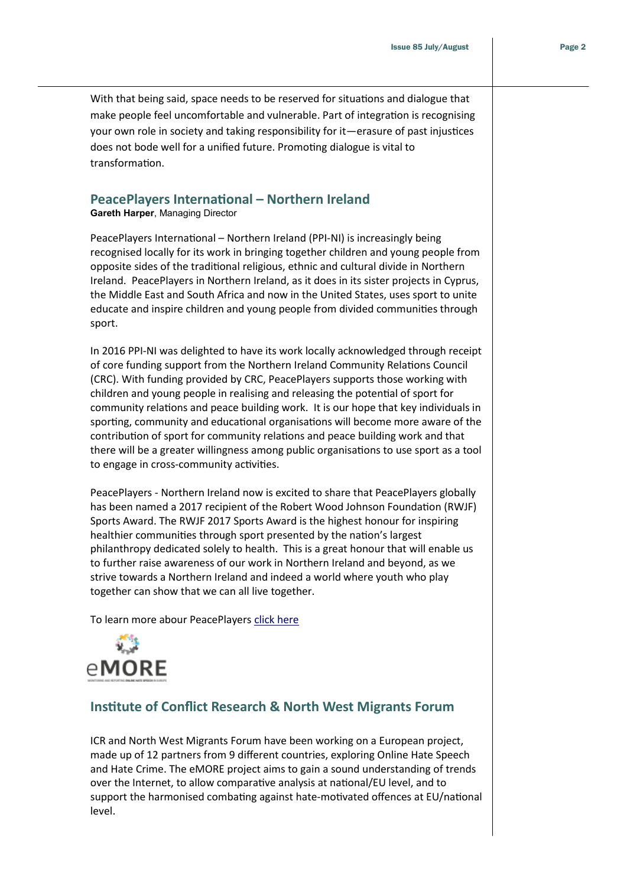With that being said, space needs to be reserved for situations and dialogue that make people feel uncomfortable and vulnerable. Part of integration is recognising your own role in society and taking responsibility for it—erasure of past injustices does not bode well for a unified future. Promoting dialogue is vital to transformation.

### **PeacePlayers International – Northern Ireland**

**Gareth Harper**, Managing Director

PeacePlayers International – Northern Ireland (PPI-NI) is increasingly being recognised locally for its work in bringing together children and young people from opposite sides of the traditional religious, ethnic and cultural divide in Northern Ireland. PeacePlayers in Northern Ireland, as it does in its sister projects in Cyprus, the Middle East and South Africa and now in the United States, uses sport to unite educate and inspire children and young people from divided communities through sport.

In 2016 PPI-NI was delighted to have its work locally acknowledged through receipt of core funding support from the Northern Ireland Community Relations Council (CRC). With funding provided by CRC, PeacePlayers supports those working with children and young people in realising and releasing the potential of sport for community relations and peace building work. It is our hope that key individuals in sporting, community and educational organisations will become more aware of the contribution of sport for community relations and peace building work and that there will be a greater willingness among public organisations to use sport as a tool to engage in cross-community activities.

PeacePlayers - Northern Ireland now is excited to share that PeacePlayers globally has been named a 2017 recipient of the Robert Wood Johnson Foundation (RWJF) Sports Award. The RWJF 2017 Sports Award is the highest honour for inspiring healthier communities through sport presented by the nation's largest philanthropy dedicated solely to health. This is a great honour that will enable us to further raise awareness of our work in Northern Ireland and beyond, as we strive towards a Northern Ireland and indeed a world where youth who play together can show that we can all live together.

To learn more abour PeacePlayers [click here](https://www.peaceplayersintl.org/ppi-programs/)



## **Institute of Conflict Research & North West Migrants Forum**

ICR and North West Migrants Forum have been working on a European project, made up of 12 partners from 9 different countries, exploring Online Hate Speech and Hate Crime. The eMORE project aims to gain a sound understanding of trends over the Internet, to allow comparative analysis at national/EU level, and to support the harmonised combating against hate-motivated offences at EU/national level.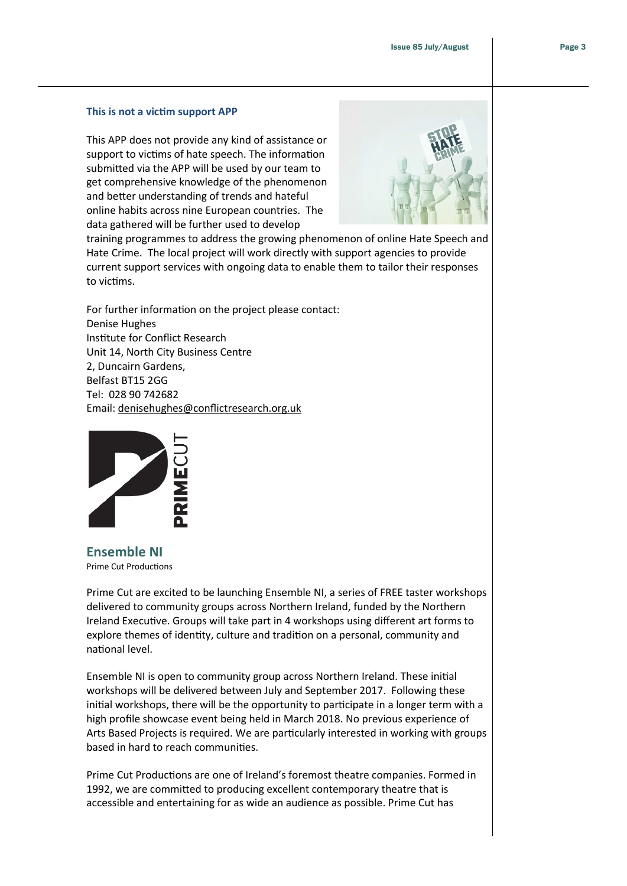#### **This is not a victim support APP**

This APP does not provide any kind of assistance or support to victims of hate speech. The information submitted via the APP will be used by our team to get comprehensive knowledge of the phenomenon and better understanding of trends and hateful online habits across nine European countries. The data gathered will be further used to develop



training programmes to address the growing phenomenon of online Hate Speech and Hate Crime. The local project will work directly with support agencies to provide current support services with ongoing data to enable them to tailor their responses to victims.

For further information on the project please contact: Denise Hughes Institute for Conflict Research Unit 14, North City Business Centre 2, Duncairn Gardens, Belfast BT15 2GG Tel: 028 90 742682 Email: [denisehughes@conflictresearch.org.uk](mailto:denisehughes@conflictresearch.org.uk)



**Ensemble NI** Prime Cut Productions

Prime Cut are excited to be launching Ensemble NI, a series of FREE taster workshops delivered to community groups across Northern Ireland, funded by the Northern Ireland Executive. Groups will take part in 4 workshops using different art forms to explore themes of identity, culture and tradition on a personal, community and national level.

Ensemble NI is open to community group across Northern Ireland. These initial workshops will be delivered between July and September 2017. Following these initial workshops, there will be the opportunity to participate in a longer term with a high profile showcase event being held in March 2018. No previous experience of Arts Based Projects is required. We are particularly interested in working with groups based in hard to reach communities.

Prime Cut Productions are one of Ireland's foremost theatre companies. Formed in 1992, we are committed to producing excellent contemporary theatre that is accessible and entertaining for as wide an audience as possible. Prime Cut has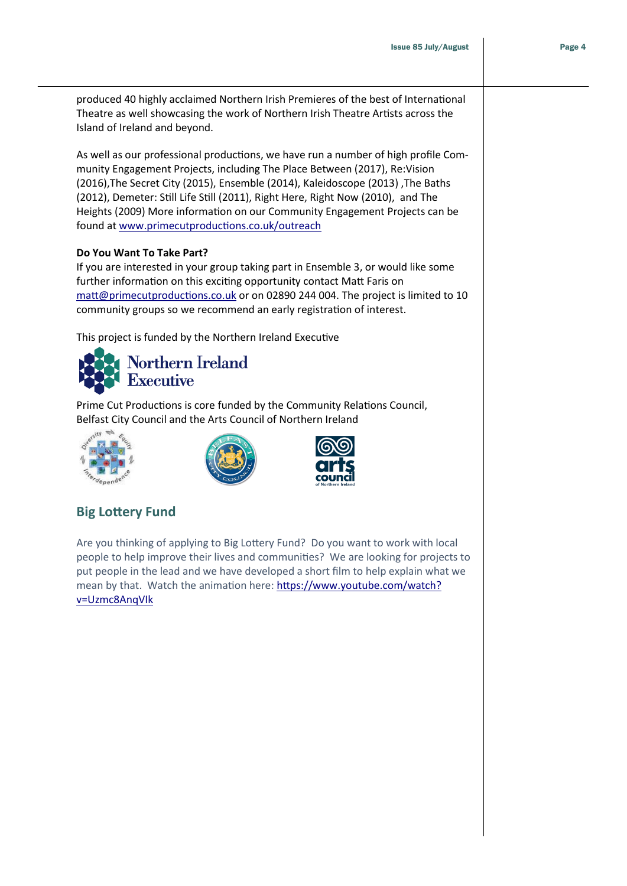produced 40 highly acclaimed Northern Irish Premieres of the best of International Theatre as well showcasing the work of Northern Irish Theatre Artists across the Island of Ireland and beyond.

As well as our professional productions, we have run a number of high profile Community Engagement Projects, including The Place Between (2017), Re:Vision (2016),The Secret City (2015), Ensemble (2014), Kaleidoscope (2013) ,The Baths (2012), Demeter: Still Life Still (2011), Right Here, Right Now (2010), and The Heights (2009) More information on our Community Engagement Projects can be found at [www.primecutproductions.co.uk/outreach](http://www.primecutproductions.co.uk/outreach)

#### **Do You Want To Take Part?**

If you are interested in your group taking part in Ensemble 3, or would like some further information on this exciting opportunity contact Matt Faris on [matt@primecutproductions.co.uk](mailto:matt@primecutproductions.co.uk) or on 02890 244 004. The project is limited to 10 community groups so we recommend an early registration of interest.

This project is funded by the Northern Ireland Executive



Prime Cut Productions is core funded by the Community Relations Council, Belfast City Council and the Arts Council of Northern Ireland







# **Big Lottery Fund**

Are you thinking of applying to Big Lottery Fund? Do you want to work with local people to help improve their lives and communities? We are looking for projects to put people in the lead and we have developed a short film to help explain what we mean by that. Watch the animation here: [https://www.youtube.com/watch?](https://www.youtube.com/watch?v=Uzmc8AnqVIk) [v=Uzmc8AnqVIk](https://www.youtube.com/watch?v=Uzmc8AnqVIk)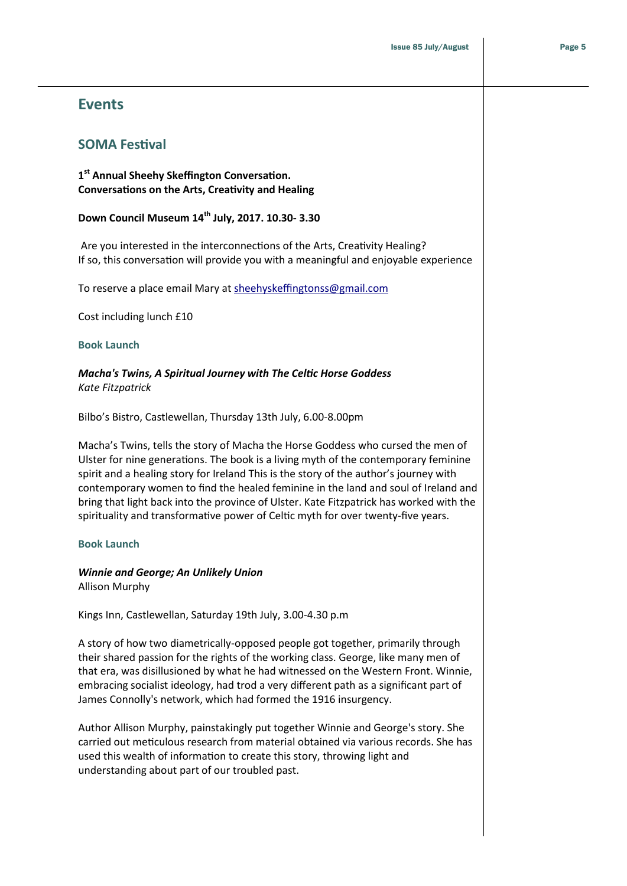# **Events**

## **SOMA Festival**

**1 st Annual Sheehy Skeffington Conversation. Conversations on the Arts, Creativity and Healing**

## **Down Council Museum 14th July, 2017. 10.30- 3.30**

Are you interested in the interconnections of the Arts, Creativity Healing? If so, this conversation will provide you with a meaningful and enjoyable experience

To reserve a place email Mary at [sheehyskeffingtonss@gmail.com](mailto:sheehyskeffingtonss@gmail.com)

Cost including lunch £10

#### **Book Launch**

#### *Macha's Twins, A Spiritual Journey with The Celtic Horse Goddess Kate Fitzpatrick*

Bilbo's Bistro, Castlewellan, Thursday 13th July, 6.00-8.00pm

Macha's Twins, tells the story of Macha the Horse Goddess who cursed the men of Ulster for nine generations. The book is a living myth of the contemporary feminine spirit and a healing story for Ireland This is the story of the author's journey with contemporary women to find the healed feminine in the land and soul of Ireland and bring that light back into the province of Ulster. Kate Fitzpatrick has worked with the spirituality and transformative power of Celtic myth for over twenty-five years.

#### **Book Launch**

#### *Winnie and George; An Unlikely Union*

Allison Murphy

Kings Inn, Castlewellan, Saturday 19th July, 3.00-4.30 p.m

A story of how two diametrically-opposed people got together, primarily through their shared passion for the rights of the working class. George, like many men of that era, was disillusioned by what he had witnessed on the Western Front. Winnie, embracing socialist ideology, had trod a very different path as a significant part of James Connolly's network, which had formed the 1916 insurgency.

Author Allison Murphy, painstakingly put together Winnie and George's story. She carried out meticulous research from material obtained via various records. She has used this wealth of information to create this story, throwing light and understanding about part of our troubled past.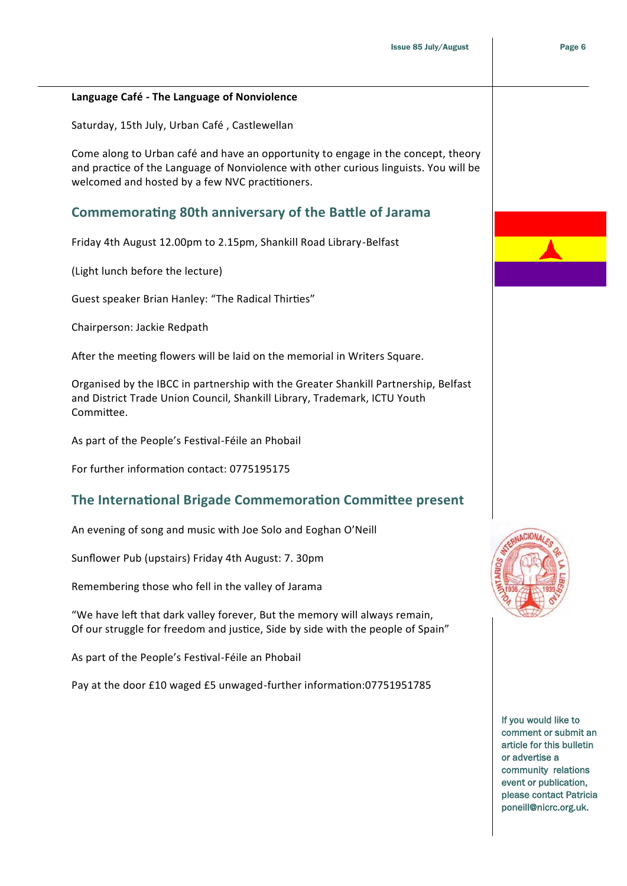#### **Language Café - The Language of Nonviolence**

Saturday, 15th July, Urban Café , Castlewellan

Come along to Urban café and have an opportunity to engage in the concept, theory and practice of the Language of Nonviolence with other curious linguists. You will be welcomed and hosted by a few NVC practitioners.

## **Commemorating 80th anniversary of the Battle of Jarama**

Friday 4th August 12.00pm to 2.15pm, Shankill Road Library-Belfast

(Light lunch before the lecture)

Guest speaker Brian Hanley: "The Radical Thirties"

Chairperson: Jackie Redpath

After the meeting flowers will be laid on the memorial in Writers Square.

Organised by the IBCC in partnership with the Greater Shankill Partnership, Belfast and District Trade Union Council, Shankill Library, Trademark, ICTU Youth Committee.

As part of the People's Festival-Féile an Phobail

For further information contact: 0775195175

## **The International Brigade Commemoration Committee present**

An evening of song and music with Joe Solo and Eoghan O'Neill

Sunflower Pub (upstairs) Friday 4th August: 7. 30pm

Remembering those who fell in the valley of Jarama

"We have left that dark valley forever, But the memory will always remain, Of our struggle for freedom and justice, Side by side with the people of Spain"

As part of the People's Festival-Féile an Phobail

Pay at the door £10 waged £5 unwaged-further information:07751951785



If you would like to comment or submit an article for this bulletin or advertise a community relations event or publication, please contact Patricia poneill@nicrc.org.uk.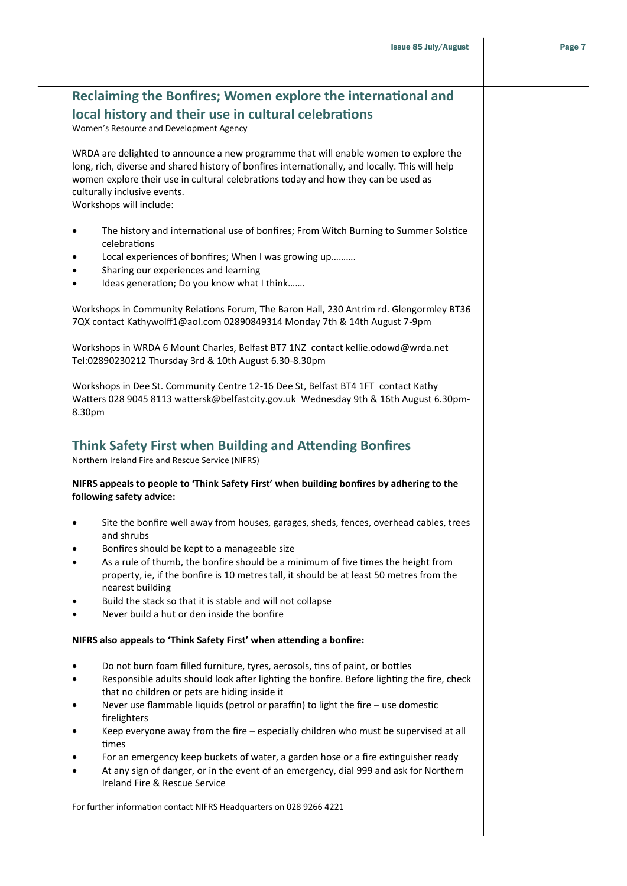# **Reclaiming the Bonfires; Women explore the international and local history and their use in cultural celebrations**

Women's Resource and Development Agency

WRDA are delighted to announce a new programme that will enable women to explore the long, rich, diverse and shared history of bonfires internationally, and locally. This will help women explore their use in cultural celebrations today and how they can be used as culturally inclusive events. Workshops will include:

 The history and international use of bonfires; From Witch Burning to Summer Solstice celebrations

- Local experiences of bonfires; When I was growing up……….
- Sharing our experiences and learning
- Ideas generation; Do you know what I think…….

Workshops in Community Relations Forum, The Baron Hall, 230 Antrim rd. Glengormley BT36 7QX contact Kathywolff1@aol.com 02890849314 Monday 7th & 14th August 7-9pm

Workshops in WRDA 6 Mount Charles, Belfast BT7 1NZ contact kellie.odowd@wrda.net Tel:02890230212 Thursday 3rd & 10th August 6.30-8.30pm

Workshops in Dee St. Community Centre 12-16 Dee St, Belfast BT4 1FT contact Kathy Watters 028 9045 8113 wattersk@belfastcity.gov.uk Wednesday 9th & 16th August 6.30pm-8.30pm

## **Think Safety First when Building and Attending Bonfires**

Northern Ireland Fire and Rescue Service (NIFRS)

#### **NIFRS appeals to people to 'Think Safety First' when building bonfires by adhering to the following safety advice:**

- Site the bonfire well away from houses, garages, sheds, fences, overhead cables, trees and shrubs
- Bonfires should be kept to a manageable size
- As a rule of thumb, the bonfire should be a minimum of five times the height from property, ie, if the bonfire is 10 metres tall, it should be at least 50 metres from the nearest building
- Build the stack so that it is stable and will not collapse
- Never build a hut or den inside the bonfire

#### **NIFRS also appeals to 'Think Safety First' when attending a bonfire:**

- Do not burn foam filled furniture, tyres, aerosols, tins of paint, or bottles
- Responsible adults should look after lighting the bonfire. Before lighting the fire, check that no children or pets are hiding inside it
- Never use flammable liquids (petrol or paraffin) to light the fire use domestic firelighters
- Keep everyone away from the fire especially children who must be supervised at all times
- For an emergency keep buckets of water, a garden hose or a fire extinguisher ready
- At any sign of danger, or in the event of an emergency, dial 999 and ask for Northern Ireland Fire & Rescue Service

For further information contact NIFRS Headquarters on 028 9266 4221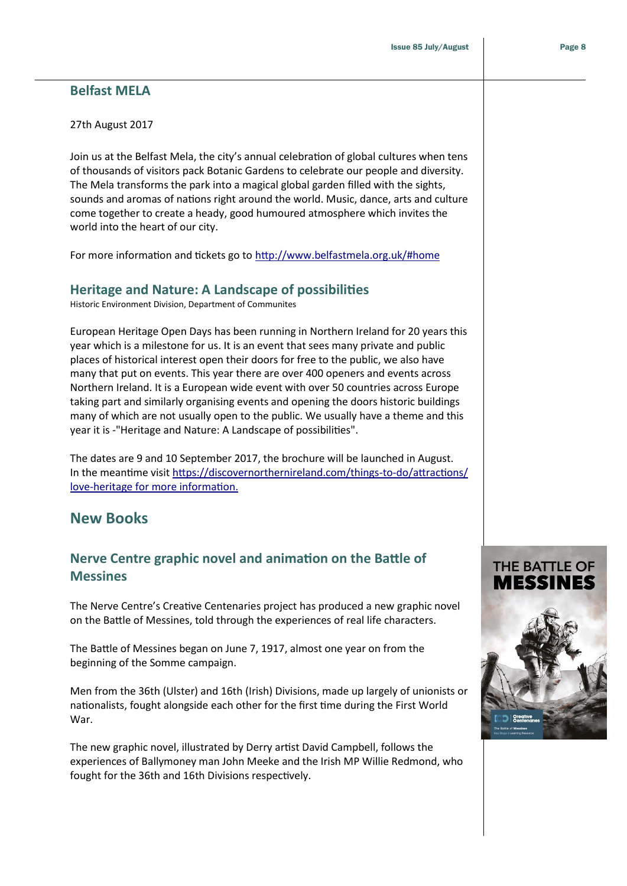## **Belfast MELA**

#### 27th August 2017

Join us at the Belfast Mela, the city's annual celebration of global cultures when tens of thousands of visitors pack Botanic Gardens to celebrate our people and diversity. The Mela transforms the park into a magical global garden filled with the sights, sounds and aromas of nations right around the world. Music, dance, arts and culture come together to create a heady, good humoured atmosphere which invites the world into the heart of our city.

For more information and tickets go to<http://www.belfastmela.org.uk/#home>

## **Heritage and Nature: A Landscape of possibilities**

Historic Environment Division, Department of Communites

European Heritage Open Days has been running in Northern Ireland for 20 years this year which is a milestone for us. It is an event that sees many private and public places of historical interest open their doors for free to the public, we also have many that put on events. This year there are over 400 openers and events across Northern Ireland. It is a European wide event with over 50 countries across Europe taking part and similarly organising events and opening the doors historic buildings many of which are not usually open to the public. We usually have a theme and this year it is -"Heritage and Nature: A Landscape of possibilities".

The dates are 9 and 10 September 2017, the brochure will be launched in August. In the meantime visit [https://discovernorthernireland.com/things](https://discovernorthernireland.com/things-to-do/attractions/love-heritage for%20more%20information.)-to-do/attractions/ love-heritage [for more information.](https://discovernorthernireland.com/things-to-do/attractions/love-heritage for%20more%20information.)

# **New Books**

# **Nerve Centre graphic novel and animation on the Battle of Messines**

The Nerve Centre's Creative Centenaries project has produced a new graphic novel on the Battle of Messines, told through the experiences of real life characters.

The Battle of Messines began on June 7, 1917, almost one year on from the beginning of the Somme campaign.

Men from the 36th (Ulster) and 16th (Irish) Divisions, made up largely of unionists or nationalists, fought alongside each other for the first time during the First World War.

The new graphic novel, illustrated by Derry artist David Campbell, follows the experiences of Ballymoney man John Meeke and the Irish MP Willie Redmond, who fought for the 36th and 16th Divisions respectively.

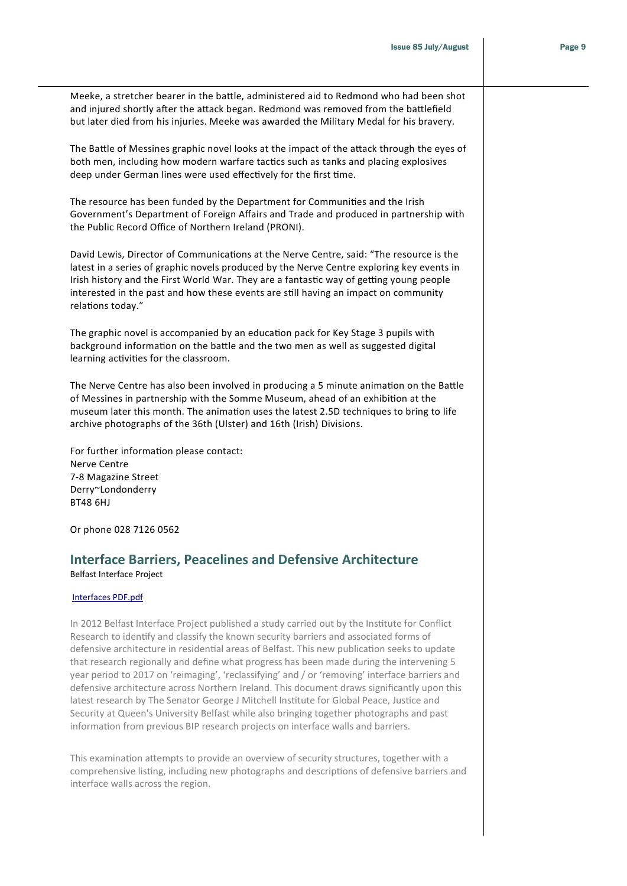| Meeke, a stretcher bearer in the battle, administered aid to Redmond who had been shot<br>and injured shortly after the attack began. Redmond was removed from the battlefield<br>but later died from his injuries. Meeke was awarded the Military Medal for his bravery.                                                                                                                                                                                                                                                                                                                                                                                                                                                                                                                                                                                       |  |
|-----------------------------------------------------------------------------------------------------------------------------------------------------------------------------------------------------------------------------------------------------------------------------------------------------------------------------------------------------------------------------------------------------------------------------------------------------------------------------------------------------------------------------------------------------------------------------------------------------------------------------------------------------------------------------------------------------------------------------------------------------------------------------------------------------------------------------------------------------------------|--|
| The Battle of Messines graphic novel looks at the impact of the attack through the eyes of<br>both men, including how modern warfare tactics such as tanks and placing explosives<br>deep under German lines were used effectively for the first time.                                                                                                                                                                                                                                                                                                                                                                                                                                                                                                                                                                                                          |  |
| The resource has been funded by the Department for Communities and the Irish<br>Government's Department of Foreign Affairs and Trade and produced in partnership with<br>the Public Record Office of Northern Ireland (PRONI).                                                                                                                                                                                                                                                                                                                                                                                                                                                                                                                                                                                                                                  |  |
| David Lewis, Director of Communications at the Nerve Centre, said: "The resource is the<br>latest in a series of graphic novels produced by the Nerve Centre exploring key events in<br>Irish history and the First World War. They are a fantastic way of getting young people<br>interested in the past and how these events are still having an impact on community<br>relations today."                                                                                                                                                                                                                                                                                                                                                                                                                                                                     |  |
| The graphic novel is accompanied by an education pack for Key Stage 3 pupils with<br>background information on the battle and the two men as well as suggested digital<br>learning activities for the classroom.                                                                                                                                                                                                                                                                                                                                                                                                                                                                                                                                                                                                                                                |  |
| The Nerve Centre has also been involved in producing a 5 minute animation on the Battle<br>of Messines in partnership with the Somme Museum, ahead of an exhibition at the<br>museum later this month. The animation uses the latest 2.5D techniques to bring to life<br>archive photographs of the 36th (Ulster) and 16th (Irish) Divisions.                                                                                                                                                                                                                                                                                                                                                                                                                                                                                                                   |  |
| For further information please contact:<br>Nerve Centre<br>7-8 Magazine Street<br>Derry~Londonderry<br><b>BT48 6HJ</b>                                                                                                                                                                                                                                                                                                                                                                                                                                                                                                                                                                                                                                                                                                                                          |  |
| Or phone 028 7126 0562                                                                                                                                                                                                                                                                                                                                                                                                                                                                                                                                                                                                                                                                                                                                                                                                                                          |  |
| <b>Interface Barriers, Peacelines and Defensive Architecture</b><br>Belfast Interface Project                                                                                                                                                                                                                                                                                                                                                                                                                                                                                                                                                                                                                                                                                                                                                                   |  |
| Interfaces PDF.pdf                                                                                                                                                                                                                                                                                                                                                                                                                                                                                                                                                                                                                                                                                                                                                                                                                                              |  |
| In 2012 Belfast Interface Project published a study carried out by the Institute for Conflict<br>Research to identify and classify the known security barriers and associated forms of<br>defensive architecture in residential areas of Belfast. This new publication seeks to update<br>that research regionally and define what progress has been made during the intervening 5<br>year period to 2017 on 'reimaging', 'reclassifying' and / or 'removing' interface barriers and<br>defensive architecture across Northern Ireland. This document draws significantly upon this<br>latest research by The Senator George J Mitchell Institute for Global Peace, Justice and<br>Security at Queen's University Belfast while also bringing together photographs and past<br>information from previous BIP research projects on interface walls and barriers. |  |
| This examination attempts to provide an overview of security structures, together with a<br>comprehensive listing, including new photographs and descriptions of defensive barriers and<br>interface walls across the region.                                                                                                                                                                                                                                                                                                                                                                                                                                                                                                                                                                                                                                   |  |
|                                                                                                                                                                                                                                                                                                                                                                                                                                                                                                                                                                                                                                                                                                                                                                                                                                                                 |  |